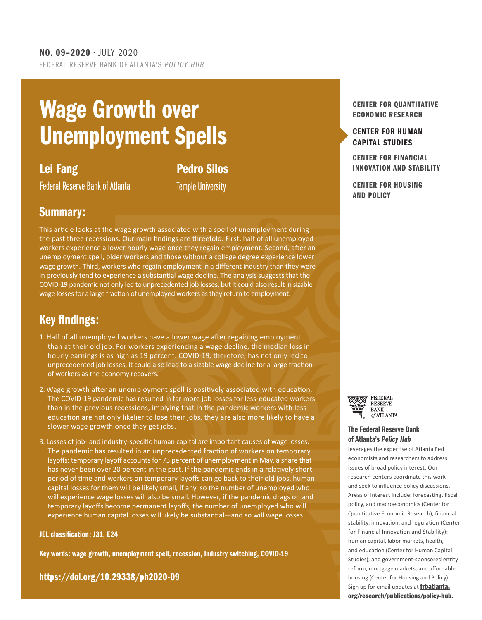## Wage Growth over Unemployment Spells

## Lei Fang

Pedro Silos

Federal Reserve Bank of Atlanta

Temple University

### Summary:

This article looks at the wage growth associated with a spell of unemployment during the past three recessions. Our main findings are threefold. First, half of all unemployed workers experience a lower hourly wage once they regain employment. Second, after an unemployment spell, older workers and those without a college degree experience lower wage growth. Third, workers who regain employment in a different industry than they were in previously tend to experience a substantial wage decline. The analysis suggests that the COVID-19 pandemic not only led to unprecedented job losses, but it could also result in sizable wage losses for a large fraction of unemployed workers as they return to employment.

## Key findings:

- 1. Half of all unemployed workers have a lower wage after regaining employment than at their old job. For workers experiencing a wage decline, the median loss in hourly earnings is as high as 19 percent. COVID-19, therefore, has not only led to unprecedented job losses, it could also lead to a sizable wage decline for a large fraction of workers as the economy recovers.
- 2. Wage growth after an unemployment spell is positively associated with education. The COVID-19 pandemic has resulted in far more job losses for less-educated workers than in the previous recessions, implying that in the pandemic workers with less education are not only likelier to lose their jobs, they are also more likely to have a slower wage growth once they get jobs.
- 3. Losses of job- and industry-specific human capital are important causes of wage losses. The pandemic has resulted in an unprecedented fraction of workers on temporary layoffs: temporary layoff accounts for 73 percent of unemployment in May, a share that has never been over 20 percent in the past. If the pandemic ends in a relatively short period of time and workers on temporary layoffs can go back to their old jobs, human capital losses for them will be likely small, if any, so the number of unemployed who will experience wage losses will also be small. However, if the pandemic drags on and temporary layoffs become permanent layoffs, the number of unemployed who will experience human capital losses will likely be substantial—and so will wage losses.

#### JEL classification: J31, E24

Key words: wage growth, unemployment spell, recession, industry switching, COVID-19

[https://doi.org/10.29338/ph2020-09](https://doi.org/10.29338/ph2020-09 )

#### CENTER FOR QUANTITATIVE ECONOMIC RESEARCH

#### [CENTER FOR HUMAN](https://www.frbatlanta.org/chcs) [CAPITAL STUDIES](https://www.frbatlanta.org/chcs#:~:text=The%20Center%20for%20Human%20Capital,and%20outside%20the%20Atlanta%20Fed.)

CENTER FOR FINANCIAL [INNOVATION AND STABILITY](https://www.frbatlanta.org/cenfis.aspx)

CENTER FOR HOUSING AND POLICY



#### [The Federal Reserve Bank](http://frbatlanta.org/research/publications/policy-hub.aspx) of Atlanta's *Policy Hub*

leverages the expertise of Atlanta Fed economists and researchers to address issues of broad policy interest. Our research centers coordinate this work and seek to influence policy discussions. Areas of interest include: forecasting, fiscal policy, and macroeconomics (Center for Quantitative Economic Research); financial stability, innovation, and regulation (Center for Financial Innovation and Stability); human capital, labor markets, health, and education (Center for Human Capital Studies); and government-sponsored entity reform, mortgage markets, and affordable housing (Center for Housing and Policy). Sign up for email updates at **[frbatlanta.](https://frbatlanta.org/research/publications/policy-hub.aspx)** [org/research/publications/policy-hub](https://frbatlanta.org/research/publications/policy-hub.aspx).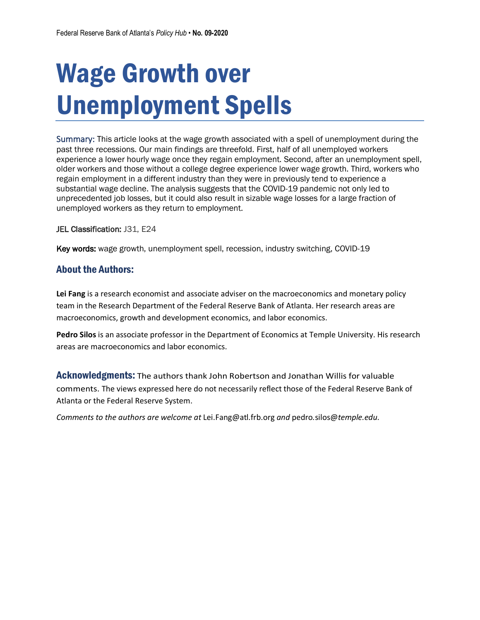# Wage Growth over Unemployment Spells

Summary: This article looks at the wage growth associated with a spell of unemployment during the past three recessions. Our main findings are threefold. First, half of all unemployed workers experience a lower hourly wage once they regain employment. Second, after an unemployment spell, older workers and those without a college degree experience lower wage growth. Third, workers who regain employment in a different industry than they were in previously tend to experience a substantial wage decline. The analysis suggests that the COVID-19 pandemic not only led to unprecedented job losses, but it could also result in sizable wage losses for a large fraction of unemployed workers as they return to employment.

#### JEL Classification: J31, E24

Key words: wage growth, unemployment spell, recession, industry switching, COVID-19

#### About the Authors:

**Lei Fang** is a research economist and associate adviser on the macroeconomics and monetary policy team in the Research Department of the Federal Reserve Bank of Atlanta. Her research areas are macroeconomics, growth and development economics, and labor economics.

**Pedro Silos** is an associate professor in the Department of Economics at Temple University. His research areas are macroeconomics and labor economics.

Acknowledgments: The authors thank John Robertson and Jonathan Willis for valuable comments. The views expressed here do not necessarily reflect those of the Federal Reserve Bank of Atlanta or the Federal Reserve System.

*Comments to the authors are welcome at* Lei.Fang@atl.frb.org *and* pedro*.*silos@*temple.edu.*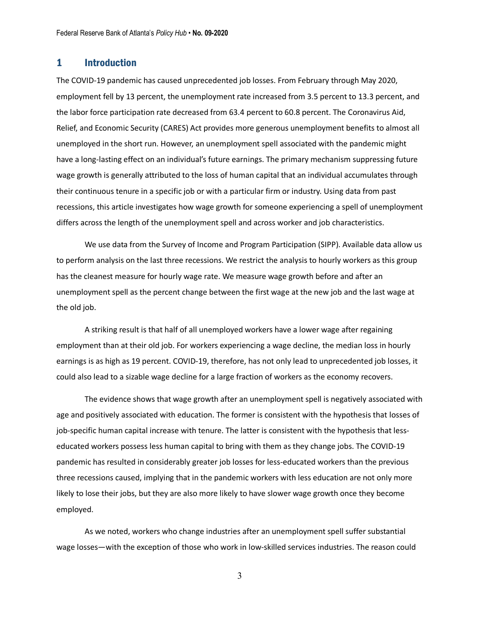#### 1 Introduction

The COVID-19 pandemic has caused unprecedented job losses. From February through May 2020, employment fell by 13 percent, the unemployment rate increased from 3.5 percent to 13.3 percent, and the labor force participation rate decreased from 63.4 percent to 60.8 percent. The Coronavirus Aid, Relief, and Economic Security (CARES) Act provides more generous unemployment benefits to almost all unemployed in the short run. However, an unemployment spell associated with the pandemic might have a long-lasting effect on an individual's future earnings. The primary mechanism suppressing future wage growth is generally attributed to the loss of human capital that an individual accumulates through their continuous tenure in a specific job or with a particular firm or industry. Using data from past recessions, this article investigates how wage growth for someone experiencing a spell of unemployment differs across the length of the unemployment spell and across worker and job characteristics.

We use data from the Survey of Income and Program Participation (SIPP). Available data allow us to perform analysis on the last three recessions. We restrict the analysis to hourly workers as this group has the cleanest measure for hourly wage rate. We measure wage growth before and after an unemployment spell as the percent change between the first wage at the new job and the last wage at the old job.

A striking result is that half of all unemployed workers have a lower wage after regaining employment than at their old job. For workers experiencing a wage decline, the median loss in hourly earnings is as high as 19 percent. COVID-19, therefore, has not only lead to unprecedented job losses, it could also lead to a sizable wage decline for a large fraction of workers as the economy recovers.

The evidence shows that wage growth after an unemployment spell is negatively associated with age and positively associated with education. The former is consistent with the hypothesis that losses of job-specific human capital increase with tenure. The latter is consistent with the hypothesis that lesseducated workers possess less human capital to bring with them as they change jobs. The COVID-19 pandemic has resulted in considerably greater job losses for less-educated workers than the previous three recessions caused, implying that in the pandemic workers with less education are not only more likely to lose their jobs, but they are also more likely to have slower wage growth once they become employed.

As we noted, workers who change industries after an unemployment spell suffer substantial wage losses—with the exception of those who work in low-skilled services industries. The reason could

3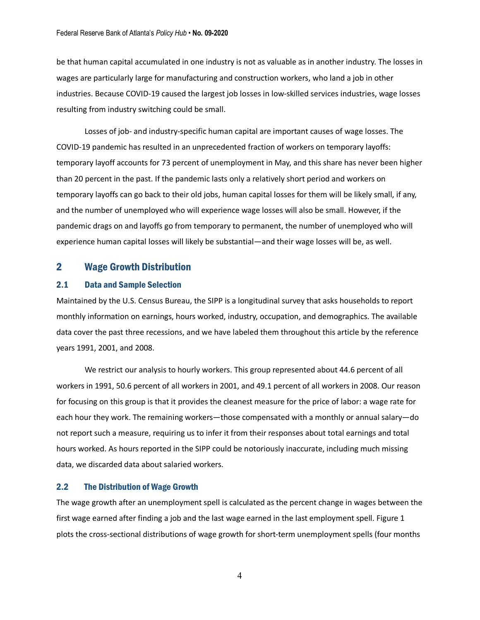be that human capital accumulated in one industry is not as valuable as in another industry. The losses in wages are particularly large for manufacturing and construction workers, who land a job in other industries. Because COVID-19 caused the largest job losses in low-skilled services industries, wage losses resulting from industry switching could be small.

Losses of job- and industry-specific human capital are important causes of wage losses. The COVID-19 pandemic has resulted in an unprecedented fraction of workers on temporary layoffs: temporary layoff accounts for 73 percent of unemployment in May, and this share has never been higher than 20 percent in the past. If the pandemic lasts only a relatively short period and workers on temporary layoffs can go back to their old jobs, human capital losses for them will be likely small, if any, and the number of unemployed who will experience wage losses will also be small. However, if the pandemic drags on and layoffs go from temporary to permanent, the number of unemployed who will experience human capital losses will likely be substantial—and their wage losses will be, as well.

#### 2 Wage Growth Distribution

#### 2.1 Data and Sample Selection

Maintained by the U.S. Census Bureau, the SIPP is a longitudinal survey that asks households to report monthly information on earnings, hours worked, industry, occupation, and demographics. The available data cover the past three recessions, and we have labeled them throughout this article by the reference years 1991, 2001, and 2008.

We restrict our analysis to hourly workers. This group represented about 44.6 percent of all workers in 1991, 50.6 percent of all workers in 2001, and 49.1 percent of all workers in 2008. Our reason for focusing on this group is that it provides the cleanest measure for the price of labor: a wage rate for each hour they work. The remaining workers—those compensated with a monthly or annual salary—do not report such a measure, requiring us to infer it from their responses about total earnings and total hours worked. As hours reported in the SIPP could be notoriously inaccurate, including much missing data, we discarded data about salaried workers.

#### 2.2 The Distribution of Wage Growth

The wage growth after an unemployment spell is calculated as the percent change in wages between the first wage earned after finding a job and the last wage earned in the last employment spell. Figure 1 plots the cross-sectional distributions of wage growth for short-term unemployment spells (four months

4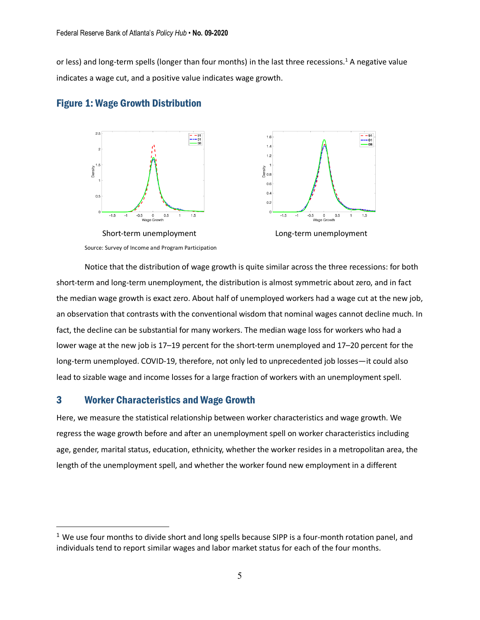or less) and long-term spells (longer than four months) in the last three recessions.<sup>1</sup> A negative value indicates a wage cut, and a positive value indicates wage growth.



#### Figure 1: Wage Growth Distribution

Notice that the distribution of wage growth is quite similar across the three recessions: for both short-term and long-term unemployment, the distribution is almost symmetric about zero, and in fact the median wage growth is exact zero. About half of unemployed workers had a wage cut at the new job, an observation that contrasts with the conventional wisdom that nominal wages cannot decline much. In fact, the decline can be substantial for many workers. The median wage loss for workers who had a lower wage at the new job is 17–19 percent for the short-term unemployed and 17–20 percent for the long-term unemployed. COVID-19, therefore, not only led to unprecedented job losses—it could also lead to sizable wage and income losses for a large fraction of workers with an unemployment spell.

#### 3 Worker Characteristics and Wage Growth

 $\overline{a}$ 

Here, we measure the statistical relationship between worker characteristics and wage growth. We regress the wage growth before and after an unemployment spell on worker characteristics including age, gender, marital status, education, ethnicity, whether the worker resides in a metropolitan area, the length of the unemployment spell, and whether the worker found new employment in a different

 $<sup>1</sup>$  We use four months to divide short and long spells because SIPP is a four-month rotation panel, and</sup> individuals tend to report similar wages and labor market status for each of the four months.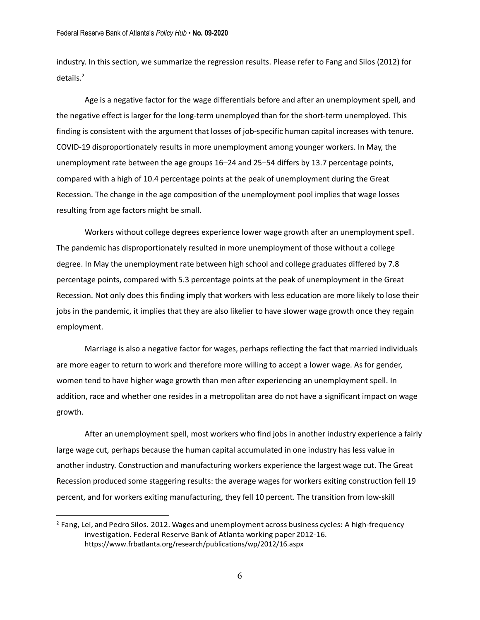industry. In this section, we summarize the regression results. Please refer to Fang and Silos (2012) for details.<sup>2</sup>

Age is a negative factor for the wage differentials before and after an unemployment spell, and the negative effect is larger for the long-term unemployed than for the short-term unemployed. This finding is consistent with the argument that losses of job-specific human capital increases with tenure. COVID-19 disproportionately results in more unemployment among younger workers. In May, the unemployment rate between the age groups 16–24 and 25–54 differs by 13.7 percentage points, compared with a high of 10.4 percentage points at the peak of unemployment during the Great Recession. The change in the age composition of the unemployment pool implies that wage losses resulting from age factors might be small.

Workers without college degrees experience lower wage growth after an unemployment spell. The pandemic has disproportionately resulted in more unemployment of those without a college degree. In May the unemployment rate between high school and college graduates differed by 7.8 percentage points, compared with 5.3 percentage points at the peak of unemployment in the Great Recession. Not only does this finding imply that workers with less education are more likely to lose their jobs in the pandemic, it implies that they are also likelier to have slower wage growth once they regain employment.

Marriage is also a negative factor for wages, perhaps reflecting the fact that married individuals are more eager to return to work and therefore more willing to accept a lower wage. As for gender, women tend to have higher wage growth than men after experiencing an unemployment spell. In addition, race and whether one resides in a metropolitan area do not have a significant impact on wage growth.

After an unemployment spell, most workers who find jobs in another industry experience a fairly large wage cut, perhaps because the human capital accumulated in one industry has less value in another industry. Construction and manufacturing workers experience the largest wage cut. The Great Recession produced some staggering results: the average wages for workers exiting construction fell 19 percent, and for workers exiting manufacturing, they fell 10 percent. The transition from low-skill

 $\overline{a}$ 

<sup>&</sup>lt;sup>2</sup> Fang, Lei, and Pedro Silos. 2012. Wages and unemployment across business cycles: A high-frequency investigation. Federal Reserve Bank of Atlanta working paper 2012-16. https://www.frbatlanta.org/research/publications/wp/2012/16.aspx